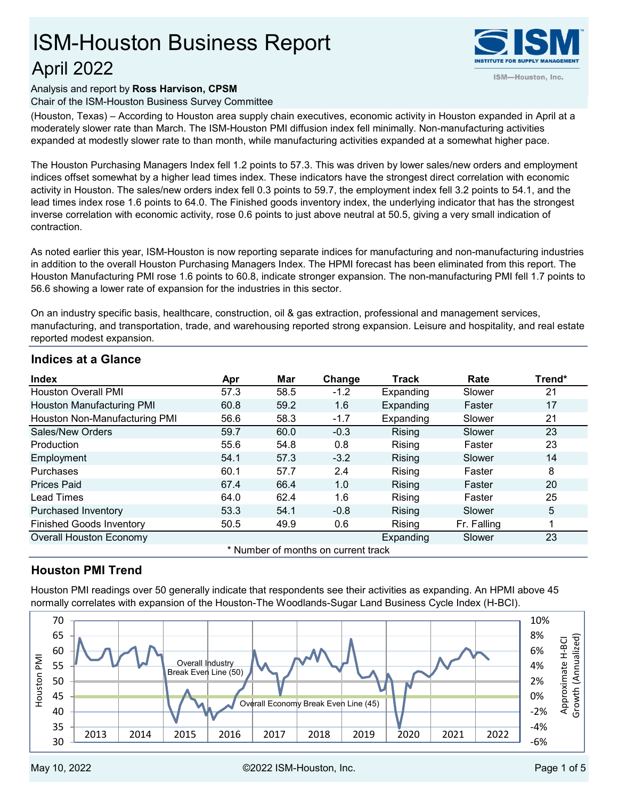# April 2022 ISM-Houston Business Report



## Analysis and report by **Ross Harvison, CPSM**

Chair of the ISM-Houston Business Survey Committee

(Houston, Texas) – According to Houston area supply chain executives, economic activity in Houston expanded in April at a moderately slower rate than March. The ISM-Houston PMI diffusion index fell minimally. Non-manufacturing activities expanded at modestly slower rate to than month, while manufacturing activities expanded at a somewhat higher pace.

The Houston Purchasing Managers Index fell 1.2 points to 57.3. This was driven by lower sales/new orders and employment indices offset somewhat by a higher lead times index. These indicators have the strongest direct correlation with economic activity in Houston. The sales/new orders index fell 0.3 points to 59.7, the employment index fell 3.2 points to 54.1, and the lead times index rose 1.6 points to 64.0. The Finished goods inventory index, the underlying indicator that has the strongest inverse correlation with economic activity, rose 0.6 points to just above neutral at 50.5, giving a very small indication of contraction.

As noted earlier this year, ISM-Houston is now reporting separate indices for manufacturing and non-manufacturing industries in addition to the overall Houston Purchasing Managers Index. The HPMI forecast has been eliminated from this report. The Houston Manufacturing PMI rose 1.6 points to 60.8, indicate stronger expansion. The non-manufacturing PMI fell 1.7 points to 56.6 showing a lower rate of expansion for the industries in this sector.

On an industry specific basis, healthcare, construction, oil & gas extraction, professional and management services, manufacturing, and transportation, trade, and warehousing reported strong expansion. Leisure and hospitality, and real estate reported modest expansion.

| <b>Index</b>                        | Apr  | Mar  | Change | <b>Track</b> | Rate        | Trend* |  |  |
|-------------------------------------|------|------|--------|--------------|-------------|--------|--|--|
| <b>Houston Overall PMI</b>          | 57.3 | 58.5 | $-1.2$ | Expanding    | Slower      | 21     |  |  |
| Houston Manufacturing PMI           | 60.8 | 59.2 | 1.6    | Expanding    | Faster      | 17     |  |  |
| Houston Non-Manufacturing PMI       | 56.6 | 58.3 | $-1.7$ | Expanding    | Slower      | 21     |  |  |
| Sales/New Orders                    | 59.7 | 60.0 | $-0.3$ | Rising       | Slower      | 23     |  |  |
| Production                          | 55.6 | 54.8 | 0.8    | Rising       | Faster      | 23     |  |  |
| Employment                          | 54.1 | 57.3 | $-3.2$ | Rising       | Slower      | 14     |  |  |
| Purchases                           | 60.1 | 57.7 | 2.4    | Rising       | Faster      | 8      |  |  |
| <b>Prices Paid</b>                  | 67.4 | 66.4 | 1.0    | Rising       | Faster      | 20     |  |  |
| Lead Times                          | 64.0 | 62.4 | 1.6    | Rising       | Faster      | 25     |  |  |
| Purchased Inventory                 | 53.3 | 54.1 | $-0.8$ | Rising       | Slower      | 5      |  |  |
| <b>Finished Goods Inventory</b>     | 50.5 | 49.9 | 0.6    | Rising       | Fr. Falling |        |  |  |
| <b>Overall Houston Economy</b>      |      |      |        | Expanding    | Slower      | 23     |  |  |
| * Number of months on current track |      |      |        |              |             |        |  |  |

# **Indices at a Glance**

# **Houston PMI Trend**

Houston PMI readings over 50 generally indicate that respondents see their activities as expanding. An HPMI above 45 normally correlates with expansion of the Houston-The Woodlands-Sugar Land Business Cycle Index (H-BCI).

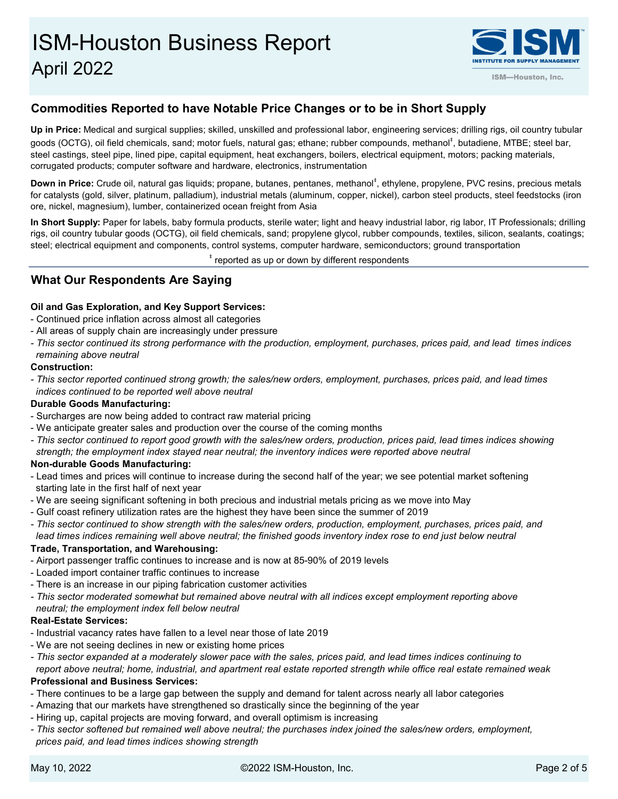

# **Commodities Reported to have Notable Price Changes or to be in Short Supply**

**Up in Price:** Medical and surgical supplies; skilled, unskilled and professional labor, engineering services; drilling rigs, oil country tubular goods (OCTG), oil field chemicals, sand; motor fuels, natural gas; ethane; rubber compounds, methanol<sup>‡</sup>, butadiene, MTBE; steel bar, steel castings, steel pipe, lined pipe, capital equipment, heat exchangers, boilers, electrical equipment, motors; packing materials, corrugated products; computer software and hardware, electronics, instrumentation

**Down in Price:** Crude oil, natural gas liquids; propane, butanes, pentanes, methanol<sup>‡</sup>, ethylene, propylene, PVC resins, precious metals for catalysts (gold, silver, platinum, palladium), industrial metals (aluminum, copper, nickel), carbon steel products, steel feedstocks (iron ore, nickel, magnesium), lumber, containerized ocean freight from Asia

**In Short Supply:** Paper for labels, baby formula products, sterile water; light and heavy industrial labor, rig labor, IT Professionals; drilling rigs, oil country tubular goods (OCTG), oil field chemicals, sand; propylene glycol, rubber compounds, textiles, silicon, sealants, coatings; steel; electrical equipment and components, control systems, computer hardware, semiconductors; ground transportation

 $^\mathrm{*}$  reported as up or down by different respondents

# **What Our Respondents Are Saying**

## **Oil and Gas Exploration, and Key Support Services:**

- Continued price inflation across almost all categories
- All areas of supply chain are increasingly under pressure
- *This sector continued its strong performance with the production, employment, purchases, prices paid, and lead times indices remaining above neutral*

#### **Construction:**

*- This sector reported continued strong growth; the sales/new orders, employment, purchases, prices paid, and lead times indices continued to be reported well above neutral*

## **Durable Goods Manufacturing:**

- Surcharges are now being added to contract raw material pricing
- We anticipate greater sales and production over the course of the coming months
- *This sector continued to report good growth with the sales/new orders, production, prices paid, lead times indices showing strength; the employment index stayed near neutral; the inventory indices were reported above neutral*

## **Non-durable Goods Manufacturing:**

- Lead times and prices will continue to increase during the second half of the year; we see potential market softening starting late in the first half of next year
- We are seeing significant softening in both precious and industrial metals pricing as we move into May
- Gulf coast refinery utilization rates are the highest they have been since the summer of 2019
- *This sector continued to show strength with the sales/new orders, production, employment, purchases, prices paid, and*

*lead times indices remaining well above neutral; the finished goods inventory index rose to end just below neutral* 

## **Trade, Transportation, and Warehousing:**

- Airport passenger traffic continues to increase and is now at 85-90% of 2019 levels
- Loaded import container traffic continues to increase
- There is an increase in our piping fabrication customer activities
- *This sector moderated somewhat but remained above neutral with all indices except employment reporting above neutral; the employment index fell below neutral*

#### **Real-Estate Services:**

- Industrial vacancy rates have fallen to a level near those of late 2019
- We are not seeing declines in new or existing home prices
- *This sector expanded at a moderately slower pace with the sales, prices paid, and lead times indices continuing to*

 *report above neutral; home, industrial, and apartment real estate reported strength while office real estate remained weak*

# **Professional and Business Services:**

- There continues to be a large gap between the supply and demand for talent across nearly all labor categories
- Amazing that our markets have strengthened so drastically since the beginning of the year
- Hiring up, capital projects are moving forward, and overall optimism is increasing
- *This sector softened but remained well above neutral; the purchases index joined the sales/new orders, employment, prices paid, and lead times indices showing strength*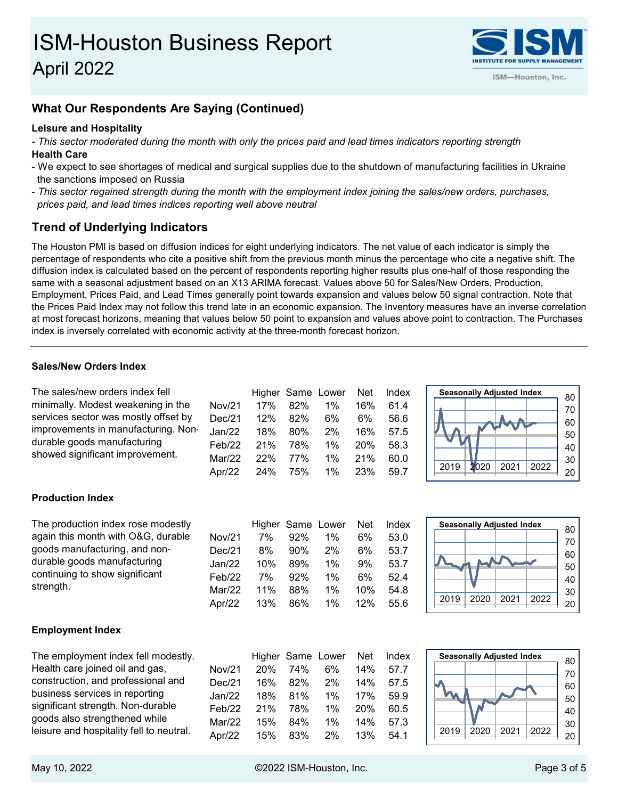

# **What Our Respondents Are Saying (Continued)**

## **Leisure and Hospitality**

*- This sector moderated during the month with only the prices paid and lead times indicators reporting strength* **Health Care**

- We expect to see shortages of medical and surgical supplies due to the shutdown of manufacturing facilities in Ukraine the sanctions imposed on Russia
- *This sector regained strength during the month with the employment index joining the sales/new orders, purchases, prices paid, and lead times indices reporting well above neutral*

# **Trend of Underlying Indicators**

The Houston PMI is based on diffusion indices for eight underlying indicators. The net value of each indicator is simply the percentage of respondents who cite a positive shift from the previous month minus the percentage who cite a negative shift. The diffusion index is calculated based on the percent of respondents reporting higher results plus one-half of those responding the same with a seasonal adjustment based on an X13 ARIMA forecast. Values above 50 for Sales/New Orders, Production, Employment, Prices Paid, and Lead Times generally point towards expansion and values below 50 signal contraction. Note that the Prices Paid Index may not follow this trend late in an economic expansion. The Inventory measures have an inverse correlation at most forecast horizons, meaning that values below 50 point to expansion and values above point to contraction. The Purchases index is inversely correlated with economic activity at the three-month forecast horizon.

## **Sales/New Orders Index**

| The sales/new orders index fell      |                     |     |     | Higher Same Lower | Net        | Index |
|--------------------------------------|---------------------|-----|-----|-------------------|------------|-------|
| minimally. Modest weakening in the   | Nov/21              | 17% | 82% | $1\%$             | 16%        | 61.4  |
| services sector was mostly offset by | Dec/21              | 12% | 82% | 6%                | 6%         | 56.6  |
| improvements in manufacturing. Non-  | Jan/22              | 18% | 80% | 2%                | 16%        | 57.5  |
| durable goods manufacturing          | Fe <sub>b</sub> /22 | 21% | 78% | $1\%$             | <b>20%</b> | 58.3  |
| showed significant improvement.      | Mar/22              | 22% | 77% | $1\%$             | 21%        | 60.0  |
|                                      | Apr $/22$           | 24% | 75% | 1%                | 23%        | 59.7  |

## **Production Index**

| The production index rose modestly |           |     |     | Higher Same Lower | Net | Index |
|------------------------------------|-----------|-----|-----|-------------------|-----|-------|
| again this month with O&G, durable | Nov/21    | 7%  | 92% | $1\%$             | 6%  | 53.0  |
| goods manufacturing, and non-      | Dec/21    | 8%  | 90% | 2%                | 6%  | 53.7  |
| durable goods manufacturing        | Jan/22    | 10% | 89% | $1\%$             | 9%  | 53.7  |
| continuing to show significant     | Feb/22    | 7%  | 92% | $1\%$             | 6%  | 52.4  |
| strength.                          | Mar/22    | 11% | 88% | $1\%$             | 10% | 54.8  |
|                                    | Apr $/22$ | 13% | 86% | $1\%$             | 12% | 55.6  |

## 20 30 40 50 60 70 **Seasonally Adjusted Index** 80 2019 2020 2021 2022

2019 2020 2021 2022

**Seasonally Adjusted Index** 80

## **Employment Index**

The employment index fell modestly. Health care joined oil and gas, construction, and professional and business services in reporting significant strength. Non-durable goods also strengthened while leisure and hospitality fell to neutral.

|                       |     |         | Higher Same Lower Net Index |        |      |
|-----------------------|-----|---------|-----------------------------|--------|------|
| Nov/21                | 20% | 74%     |                             | 6% 14% | 57.7 |
| Dec/21 16% 82% 2% 14% |     |         |                             |        | 57.5 |
| Jan/22                | 18% | 81%     | 1%                          | 17%    | 59.9 |
| Feb/22                |     | 21% 78% | 1%                          | 20%    | 60.5 |
| Mar/22                | 15% | 84%     | 1% $\sim$                   | 14%    | 57.3 |
| Apr/22 15% 83% 2% 13% |     |         |                             |        | 54.1 |

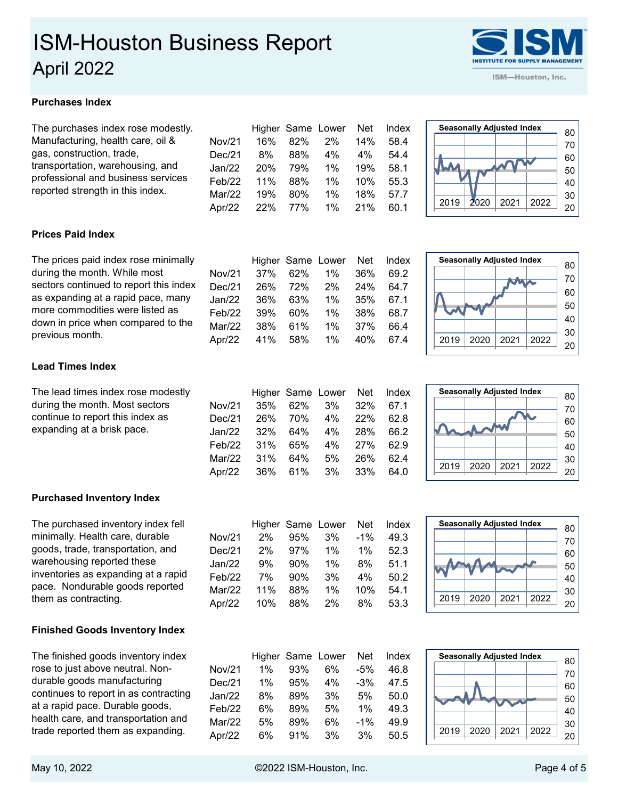# **Purchases Index**

| The purchases index rose modestly.                                                                         |           |     |     | Higher Same Lower | Net   | Index |
|------------------------------------------------------------------------------------------------------------|-----------|-----|-----|-------------------|-------|-------|
| Manufacturing, health care, oil &                                                                          | Nov/21    | 16% | 82% | 2%                | 14%   | 58.4  |
| gas, construction, trade,                                                                                  | Dec/21    | 8%  | 88% | 4%                | $4\%$ | 54.4  |
| transportation, warehousing, and<br>professional and business services<br>reported strength in this index. | Jan/22    | 20% | 79% | $1\%$             | 19%   | 58.1  |
|                                                                                                            | Feb/22    | 11% | 88% | $1\%$             | 10%   | 55.3  |
|                                                                                                            | Mar/22    | 19% | 80% | $1\%$             | 18%   | 57.7  |
|                                                                                                            | Apr $/22$ | 22% | 77% | $1\%$             | 21%   | 60.1  |
|                                                                                                            |           |     |     |                   |       |       |

## **Prices Paid Index**

| The prices paid index rose minimally   |           |     |     | Higher Same Lower Net |     | Index |
|----------------------------------------|-----------|-----|-----|-----------------------|-----|-------|
| during the month. While most           | Nov/21    | 37% | 62% | 1%                    | 36% | 69.2  |
| sectors continued to report this index | Dec/21    | 26% | 72% | $2\%$                 | 24% | 64.7  |
| as expanding at a rapid pace, many     | Jan/22    | 36% | 63% | 1%                    | 35% | 67.1  |
| more commodities were listed as        | Feb/22    | 39% | 60% | $1\%$                 | 38% | 68.7  |
| down in price when compared to the     | Mar/22    | 38% | 61% | $1\%$                 | 37% | 66.4  |
| previous month.                        | Apr $/22$ | 41% | 58% | $1\%$                 | 40% | 67.4  |

## **Lead Times Index**

The lead times index rose modestly during the month. Most sectors continue to report this index as expanding at a brisk pace.

## **Purchased Inventory Index**

The purchased inventory index fell minimally. Health care, durable goods, trade, transportation, and warehousing reported these inventories as expanding at a rapid pace. Nondurable goods reported them as contracting.

# **Finished Goods Inventory Index**

The finished goods inventory index rose to just above neutral. Nondurable goods manufacturing continues to report in as contracting at a rapid pace. Durable goods, health care, and transportation and trade reported them as expanding.

|        |       |        | Higher Same Lower Net |    | Index |
|--------|-------|--------|-----------------------|----|-------|
| Nov/21 | $2\%$ |        | 95% 3% -1%            |    | 49.3  |
| Dec/21 | 2%    |        | 97% 1%                | 1% | 52.3  |
| Jan/22 | 9%    | $90\%$ | $1\%$                 | 8% | 51.1  |
| Feb/22 | 7%    | 90%    | 3%                    | 4% | 50.2  |
|        |       |        |                       |    |       |

Higher Same Lower Net Index

Nov/21 35% 62% 3% 32% 67.1 Dec/21 26% 70% 4% 22% 62.8 Jan/22 32% 64% 4% 28% 66.2 Feb/22 31% 65% 4% 27% 62.9 Mar/22 31% 64% 5% 26% 62.4 Apr/22 36% 61% 3% 33% 64.0

| D U L L IV U L I IV I IV U L U |  |  |  |
|--------------------------------|--|--|--|
| Jan/22 9% 90% 1% 8% 51.1       |  |  |  |
| Feb/22 7% 90% 3% 4% 50.2       |  |  |  |
| Mar/22 11% 88% 1% 10% 54.1     |  |  |  |
| Apr/22 10% 88% 2% 8% 53.3      |  |  |  |
|                                |  |  |  |

|        |       |     | Higher Same Lower Net Index |        |      |
|--------|-------|-----|-----------------------------|--------|------|
| Nov/21 | $1\%$ | 93% | 6%                          | $-5%$  | 46.8 |
| Dec/21 | 1%    | 95% | 4%                          | $-3%$  | 47.5 |
| Jan/22 | 8%    | 89% | 3%                          | 5%     | 50.0 |
| Feb/22 | 6%    | 89% | 5%                          | $1\%$  | 49.3 |
| Mar/22 | 5%    | 89% | 6%                          | $-1\%$ | 49.9 |
| Apr/22 | 6%    | 91% | 3%                          | 3%     | 50.5 |